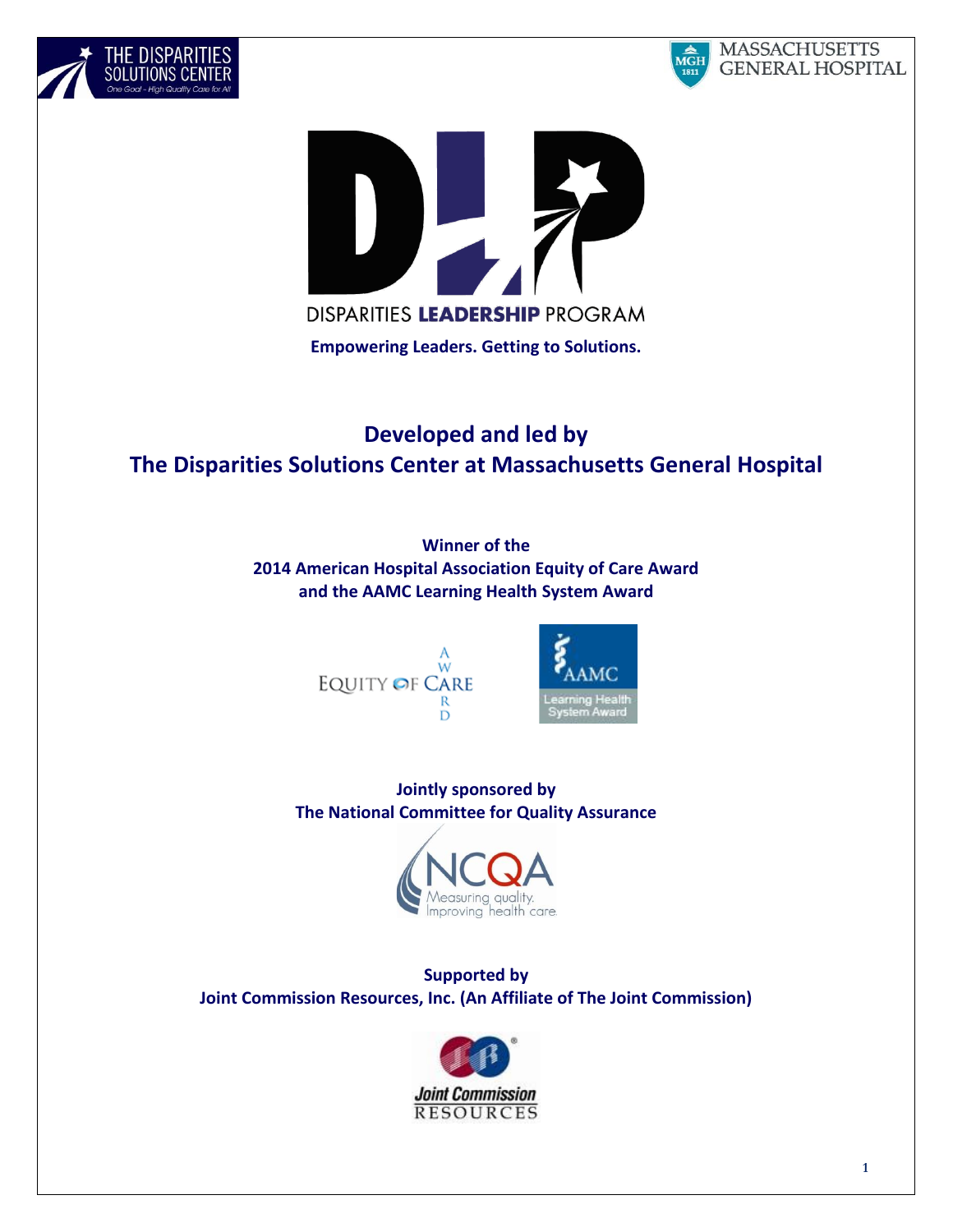





# **Developed and led by The Disparities Solutions Center at Massachusetts General Hospital**

**Winner of the 2014 American Hospital Association Equity of Care Award and the AAMC Learning Health System Award**





**Jointly sponsored by The National Committee for Quality Assurance**



**Supported by Joint Commission Resources, Inc. (An Affiliate of The Joint Commission)**

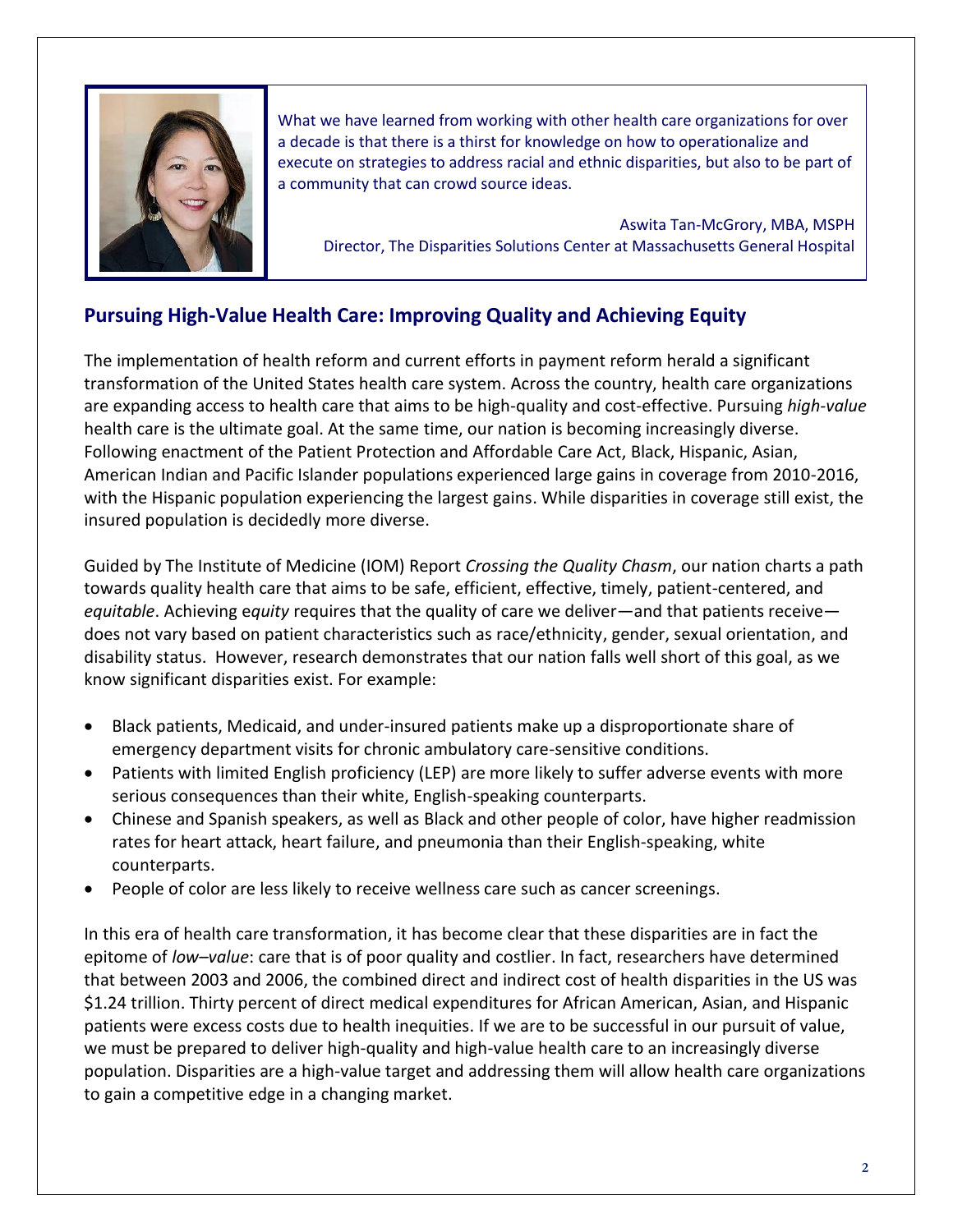

What we have learned from working with other health care organizations for over a decade is that there is a thirst for knowledge on how to operationalize and execute on strategies to address racial and ethnic disparities, but also to be part of a community that can crowd source ideas.

Aswita Tan-McGrory, MBA, MSPH Director, The Disparities Solutions Center at Massachusetts General Hospital

# **Pursuing High-Value Health Care: Improving Quality and Achieving Equity**

The implementation of health reform and current efforts in payment reform herald a significant transformation of the United States health care system. Across the country, health care organizations are expanding access to health care that aims to be high-quality and cost-effective. Pursuing *high-value* health care is the ultimate goal. At the same time, our nation is becoming increasingly diverse. Following enactment of the Patient Protection and Affordable Care Act, Black, Hispanic, Asian, American Indian and Pacific Islander populations experienced large gains in coverage from 2010-2016, with the Hispanic population experiencing the largest gains. While disparities in coverage still exist, the insured population is decidedly more diverse.

Guided by The Institute of Medicine (IOM) Report *Crossing the Quality Chasm*, our nation charts a path towards quality health care that aims to be safe, efficient, effective, timely, patient-centered, and *equitable*. Achieving e*quity* requires that the quality of care we deliver—and that patients receive does not vary based on patient characteristics such as race/ethnicity, gender, sexual orientation, and disability status. However, research demonstrates that our nation falls well short of this goal, as we know significant disparities exist. For example:

- Black patients, Medicaid, and under-insured patients make up a disproportionate share of emergency department visits for chronic ambulatory care-sensitive conditions.
- Patients with limited English proficiency (LEP) are more likely to suffer adverse events with more serious consequences than their white, English-speaking counterparts.
- Chinese and Spanish speakers, as well as Black and other people of color, have higher readmission rates for heart attack, heart failure, and pneumonia than their English-speaking, white counterparts.
- People of color are less likely to receive wellness care such as cancer screenings.

In this era of health care transformation, it has become clear that these disparities are in fact the epitome of *low–value*: care that is of poor quality and costlier. In fact, researchers have determined that between 2003 and 2006, the combined direct and indirect cost of health disparities in the US was \$1.24 trillion. Thirty percent of direct medical expenditures for African American, Asian, and Hispanic patients were excess costs due to health inequities. If we are to be successful in our pursuit of value, we must be prepared to deliver high-quality and high-value health care to an increasingly diverse population. Disparities are a high-value target and addressing them will allow health care organizations to gain a competitive edge in a changing market.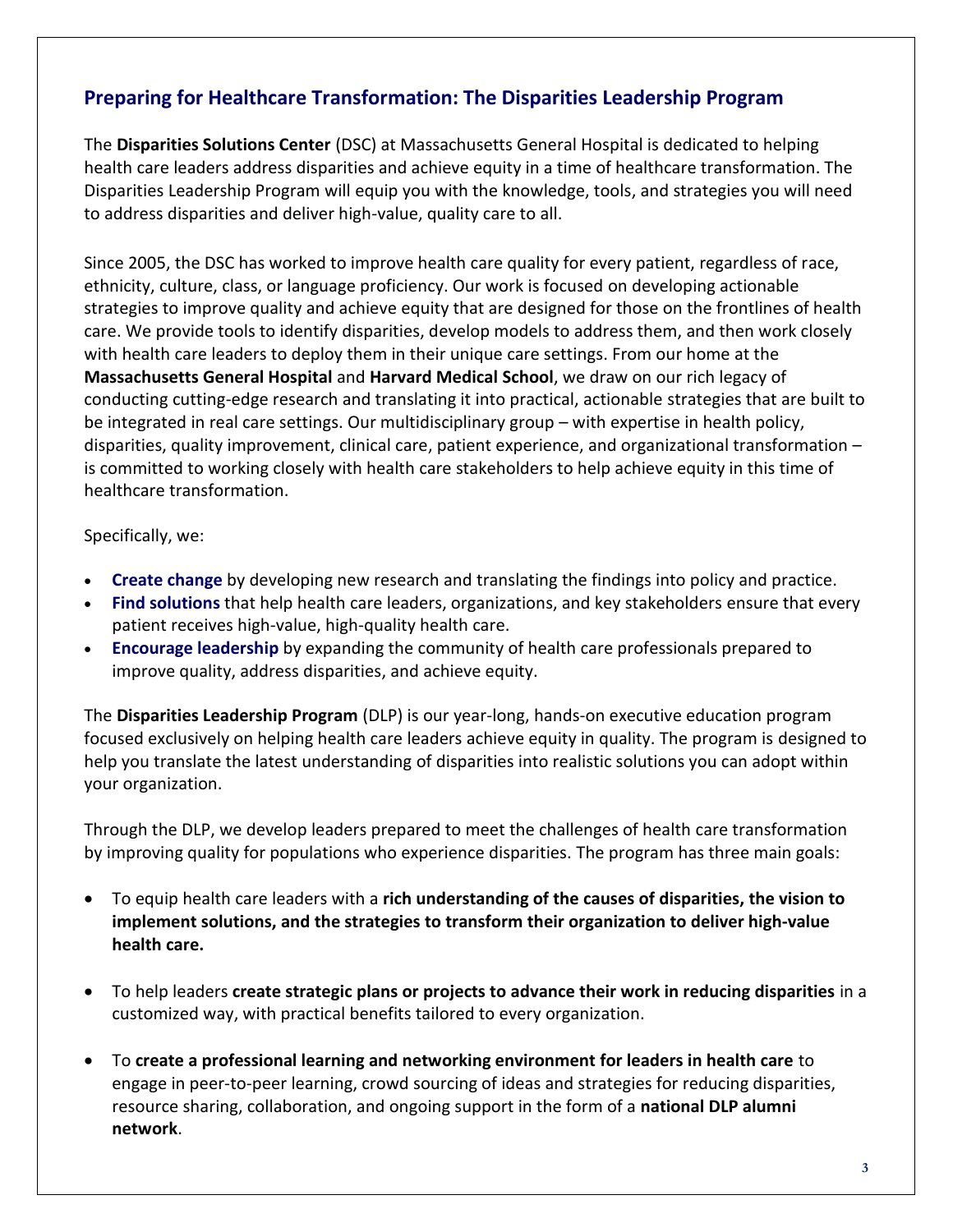# **Preparing for Healthcare Transformation: The Disparities Leadership Program**

The **Disparities Solutions Center** (DSC) at Massachusetts General Hospital is dedicated to helping health care leaders address disparities and achieve equity in a time of healthcare transformation. The Disparities Leadership Program will equip you with the knowledge, tools, and strategies you will need to address disparities and deliver high-value, quality care to all.

Since 2005, the DSC has worked to improve health care quality for every patient, regardless of race, ethnicity, culture, class, or language proficiency. Our work is focused on developing actionable strategies to improve quality and achieve equity that are designed for those on the frontlines of health care. We provide tools to identify disparities, develop models to address them, and then work closely with health care leaders to deploy them in their unique care settings. From our home at the **Massachusetts General Hospital** and **Harvard Medical School**, we draw on our rich legacy of conducting cutting-edge research and translating it into practical, actionable strategies that are built to be integrated in real care settings. Our multidisciplinary group – with expertise in health policy, disparities, quality improvement, clinical care, patient experience, and organizational transformation – is committed to working closely with health care stakeholders to help achieve equity in this time of healthcare transformation.

### Specifically, we:

- **Create change** by developing new research and translating the findings into policy and practice.
- **Find solutions** that help health care leaders, organizations, and key stakeholders ensure that every patient receives high-value, high-quality health care.
- **Encourage leadership** by expanding the community of health care professionals prepared to improve quality, address disparities, and achieve equity.

The **Disparities Leadership Program** (DLP) is our year-long, hands-on executive education program focused exclusively on helping health care leaders achieve equity in quality. The program is designed to help you translate the latest understanding of disparities into realistic solutions you can adopt within your organization.

Through the DLP, we develop leaders prepared to meet the challenges of health care transformation by improving quality for populations who experience disparities. The program has three main goals:

- To equip health care leaders with a **rich understanding of the causes of disparities, the vision to implement solutions, and the strategies to transform their organization to deliver high-value health care.**
- To help leaders **create strategic plans or projects to advance their work in reducing disparities** in a customized way, with practical benefits tailored to every organization.
- To **create a professional learning and networking environment for leaders in health care** to engage in peer-to-peer learning, crowd sourcing of ideas and strategies for reducing disparities, resource sharing, collaboration, and ongoing support in the form of a **national DLP alumni network**.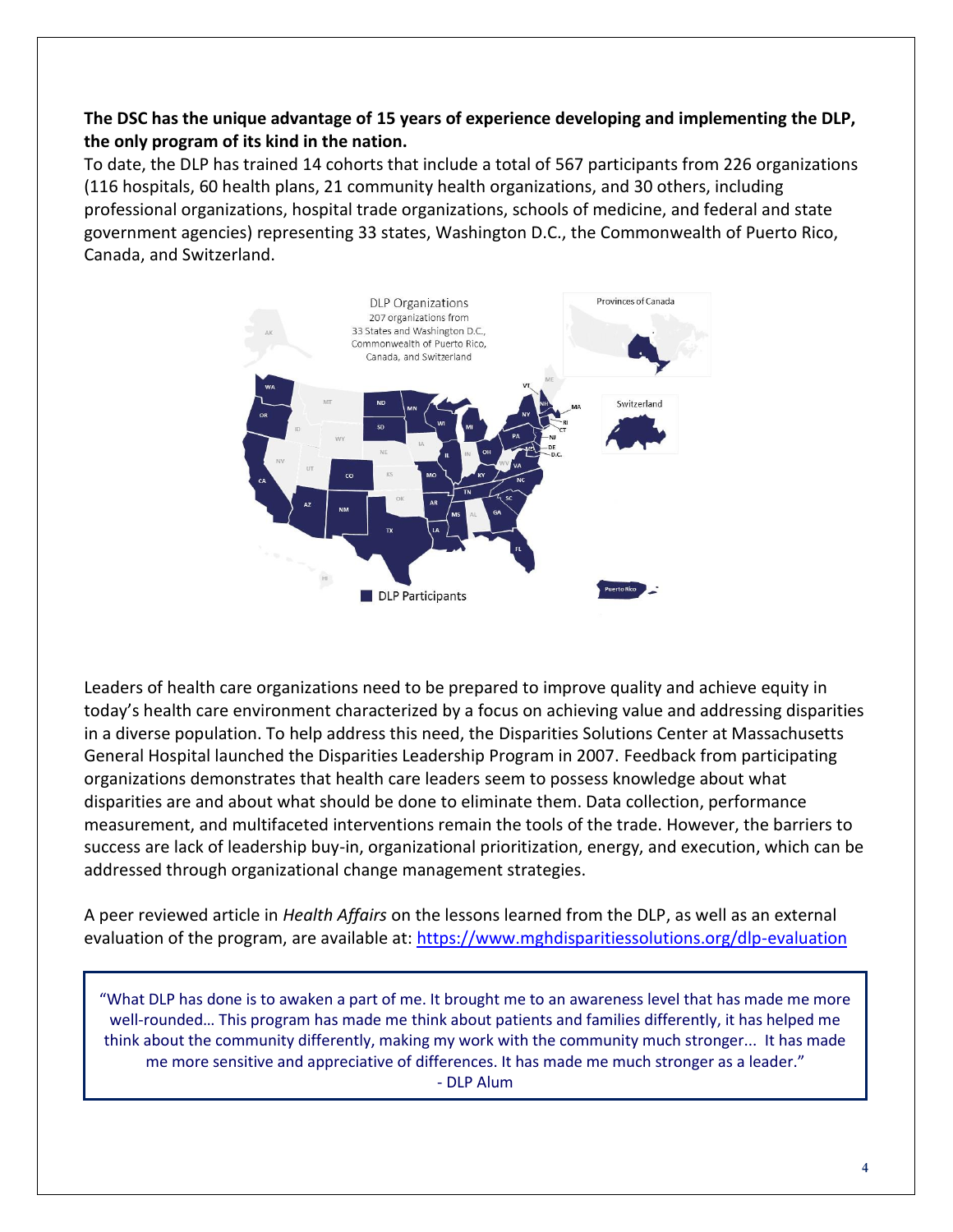### **The DSC has the unique advantage of 15 years of experience developing and implementing the DLP, the only program of its kind in the nation.**

To date, the DLP has trained 14 cohorts that include a total of 567 participants from 226 organizations (116 hospitals, 60 health plans, 21 community health organizations, and 30 others, including professional organizations, hospital trade organizations, schools of medicine, and federal and state government agencies) representing 33 states, Washington D.C., the Commonwealth of Puerto Rico, Canada, and Switzerland.



Leaders of health care organizations need to be prepared to improve quality and achieve equity in today's health care environment characterized by a focus on achieving value and addressing disparities in a diverse population. To help address this need, the Disparities Solutions Center at Massachusetts General Hospital launched the Disparities Leadership Program in 2007. Feedback from participating organizations demonstrates that health care leaders seem to possess knowledge about what disparities are and about what should be done to eliminate them. Data collection, performance measurement, and multifaceted interventions remain the tools of the trade. However, the barriers to success are lack of leadership buy-in, organizational prioritization, energy, and execution, which can be addressed through organizational change management strategies.

A peer reviewed article in *Health Affairs* on the lessons learned from the DLP, as well as an external evaluation of the program, are available at: <https://www.mghdisparitiessolutions.org/dlp-evaluation>

"What DLP has done is to awaken a part of me. It brought me to an awareness level that has made me more well-rounded… This program has made me think about patients and families differently, it has helped me think about the community differently, making my work with the community much stronger... It has made me more sensitive and appreciative of differences. It has made me much stronger as a leader." - DLP Alum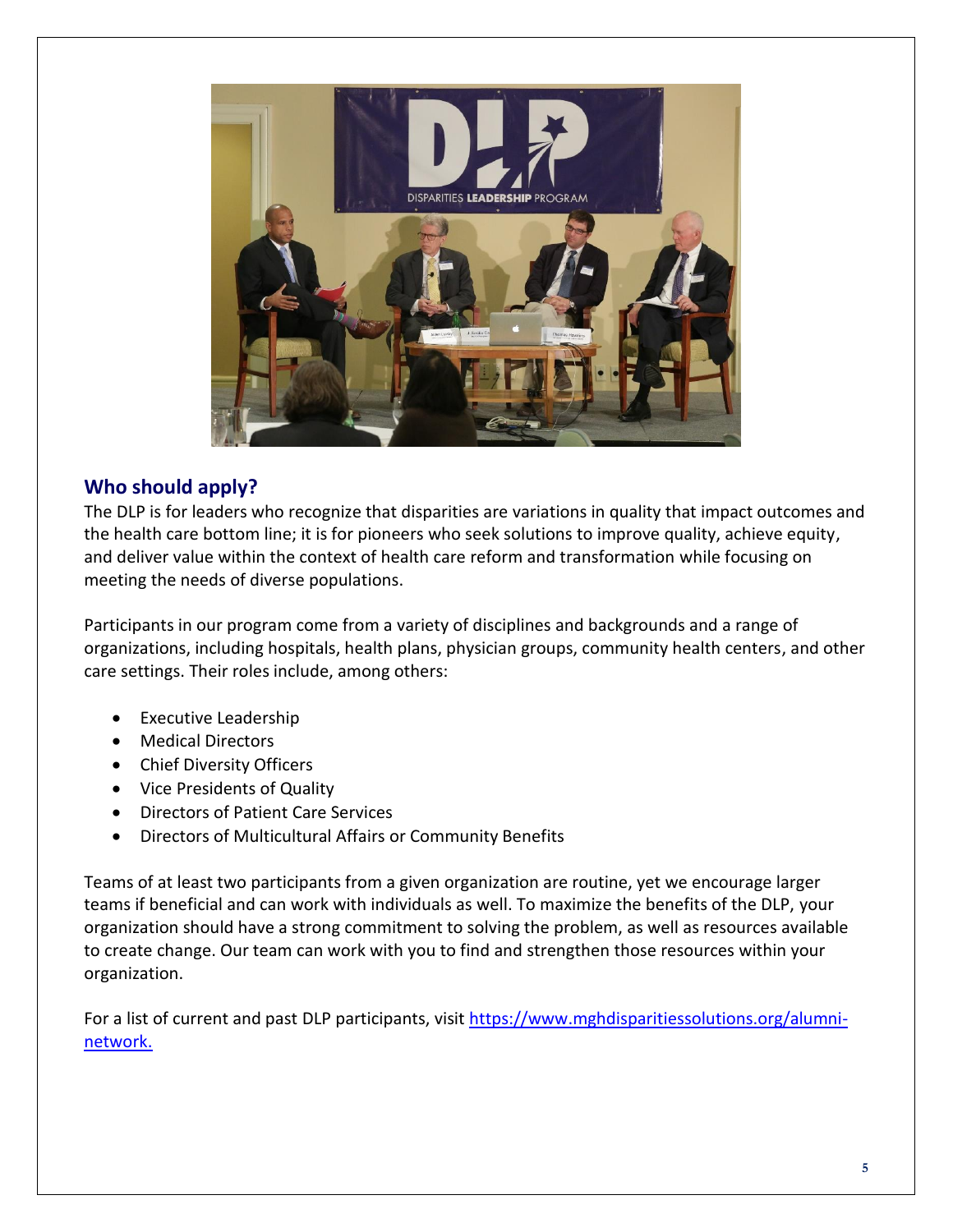

# **Who should apply?**

The DLP is for leaders who recognize that disparities are variations in quality that impact outcomes and the health care bottom line; it is for pioneers who seek solutions to improve quality, achieve equity, and deliver value within the context of health care reform and transformation while focusing on meeting the needs of diverse populations.

Participants in our program come from a variety of disciplines and backgrounds and a range of organizations, including hospitals, health plans, physician groups, community health centers, and other care settings. Their roles include, among others:

- Executive Leadership
- Medical Directors
- Chief Diversity Officers
- Vice Presidents of Quality
- Directors of Patient Care Services
- Directors of Multicultural Affairs or Community Benefits

Teams of at least two participants from a given organization are routine, yet we encourage larger teams if beneficial and can work with individuals as well. To maximize the benefits of the DLP, your organization should have a strong commitment to solving the problem, as well as resources available to create change. Our team can work with you to find and strengthen those resources within your organization.

For a list of current and past DLP participants, visit [https://www.mghdisparitiessolutions.org/alumni](https://www.mghdisparitiessolutions.org/alumni-network)[network.](https://www.mghdisparitiessolutions.org/alumni-network)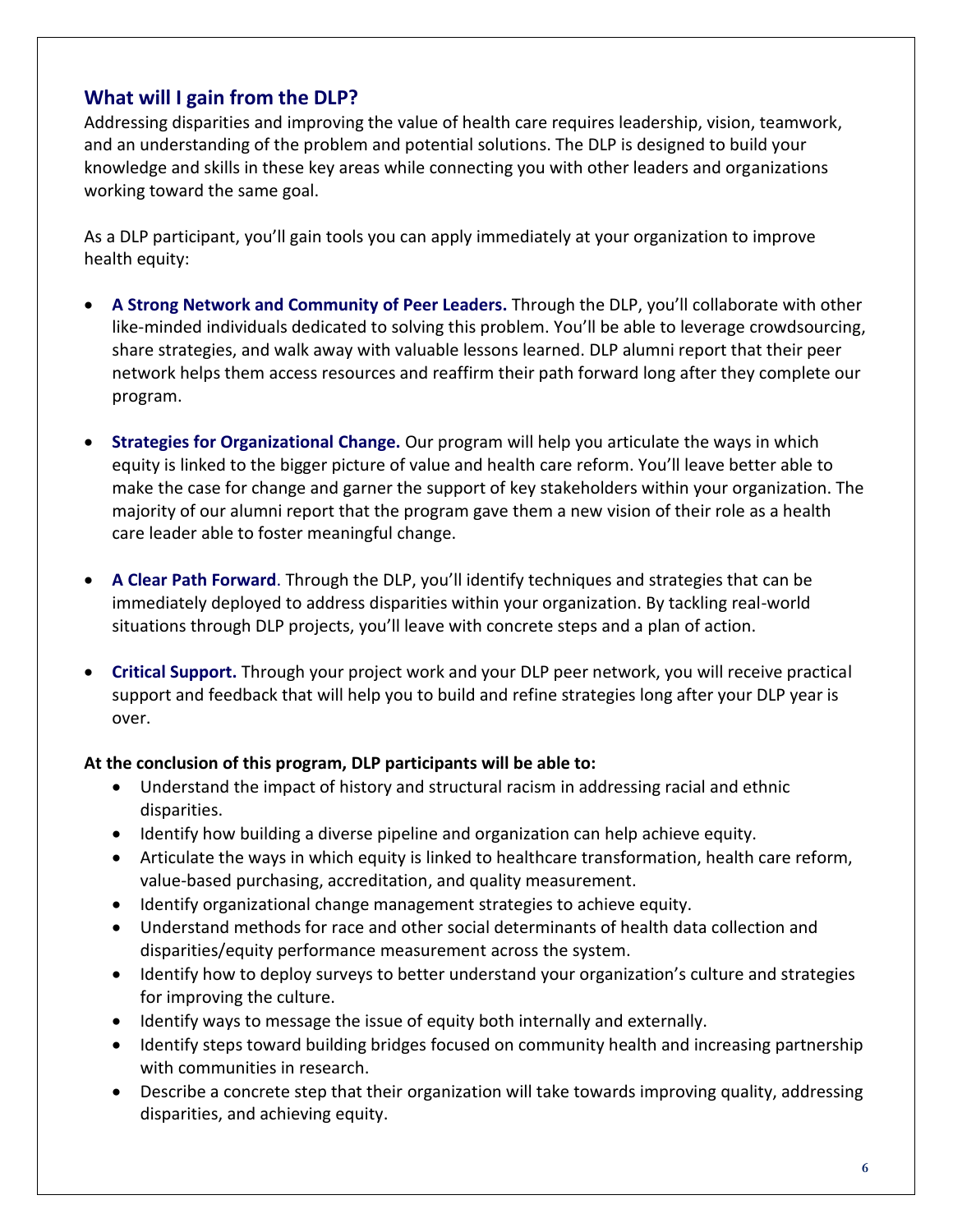## **What will I gain from the DLP?**

Addressing disparities and improving the value of health care requires leadership, vision, teamwork, and an understanding of the problem and potential solutions. The DLP is designed to build your knowledge and skills in these key areas while connecting you with other leaders and organizations working toward the same goal.

As a DLP participant, you'll gain tools you can apply immediately at your organization to improve health equity:

- **A Strong Network and Community of Peer Leaders.** Through the DLP, you'll collaborate with other like-minded individuals dedicated to solving this problem. You'll be able to leverage crowdsourcing, share strategies, and walk away with valuable lessons learned. DLP alumni report that their peer network helps them access resources and reaffirm their path forward long after they complete our program.
- **Strategies for Organizational Change.** Our program will help you articulate the ways in which equity is linked to the bigger picture of value and health care reform. You'll leave better able to make the case for change and garner the support of key stakeholders within your organization. The majority of our alumni report that the program gave them a new vision of their role as a health care leader able to foster meaningful change.
- **A Clear Path Forward**. Through the DLP, you'll identify techniques and strategies that can be immediately deployed to address disparities within your organization. By tackling real-world situations through DLP projects, you'll leave with concrete steps and a plan of action.
- **Critical Support.** Through your project work and your DLP peer network, you will receive practical support and feedback that will help you to build and refine strategies long after your DLP year is over.

### **At the conclusion of this program, DLP participants will be able to:**

- Understand the impact of history and structural racism in addressing racial and ethnic disparities.
- Identify how building a diverse pipeline and organization can help achieve equity.
- Articulate the ways in which equity is linked to healthcare transformation, health care reform, value-based purchasing, accreditation, and quality measurement.
- Identify organizational change management strategies to achieve equity.
- Understand methods for race and other social determinants of health data collection and disparities/equity performance measurement across the system.
- Identify how to deploy surveys to better understand your organization's culture and strategies for improving the culture.
- Identify ways to message the issue of equity both internally and externally.
- Identify steps toward building bridges focused on community health and increasing partnership with communities in research.
- Describe a concrete step that their organization will take towards improving quality, addressing disparities, and achieving equity.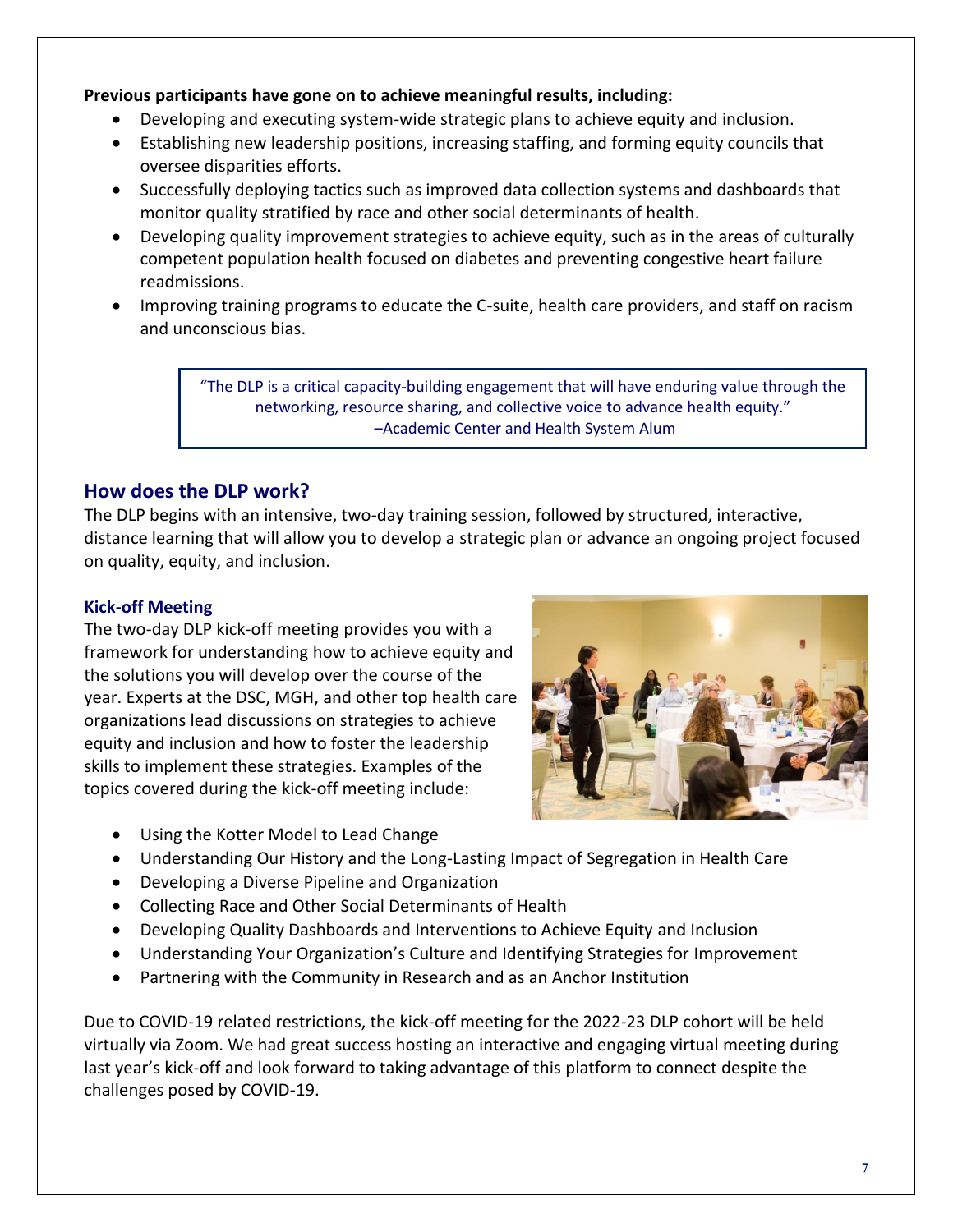### **Previous participants have gone on to achieve meaningful results, including:**

- Developing and executing system-wide strategic plans to achieve equity and inclusion.
- Establishing new leadership positions, increasing staffing, and forming equity councils that oversee disparities efforts.
- Successfully deploying tactics such as improved data collection systems and dashboards that monitor quality stratified by race and other social determinants of health.
- Developing quality improvement strategies to achieve equity, such as in the areas of culturally competent population health focused on diabetes and preventing congestive heart failure readmissions.
- Improving training programs to educate the C-suite, health care providers, and staff on racism and unconscious bias.

"The DLP is a critical capacity-building engagement that will have enduring value through the networking, resource sharing, and collective voice to advance health equity." –Academic Center and Health System Alum

### **How does the DLP work?**

The DLP begins with an intensive, two-day training session, followed by structured, interactive, distance learning that will allow you to develop a strategic plan or advance an ongoing project focused on quality, equity, and inclusion.

### **Kick-off Meeting**

The two-day DLP kick-off meeting provides you with a framework for understanding how to achieve equity and the solutions you will develop over the course of the year. Experts at the DSC, MGH, and other top health care organizations lead discussions on strategies to achieve equity and inclusion and how to foster the leadership skills to implement these strategies. Examples of the topics covered during the kick-off meeting include:



- Using the Kotter Model to Lead Change
- Understanding Our History and the Long-Lasting Impact of Segregation in Health Care
- Developing a Diverse Pipeline and Organization
- Collecting Race and Other Social Determinants of Health
- Developing Quality Dashboards and Interventions to Achieve Equity and Inclusion
- Understanding Your Organization's Culture and Identifying Strategies for Improvement
- Partnering with the Community in Research and as an Anchor Institution

Due to COVID-19 related restrictions, the kick-off meeting for the 2022-23 DLP cohort will be held virtually via Zoom. We had great success hosting an interactive and engaging virtual meeting during last year's kick-off and look forward to taking advantage of this platform to connect despite the challenges posed by COVID-19.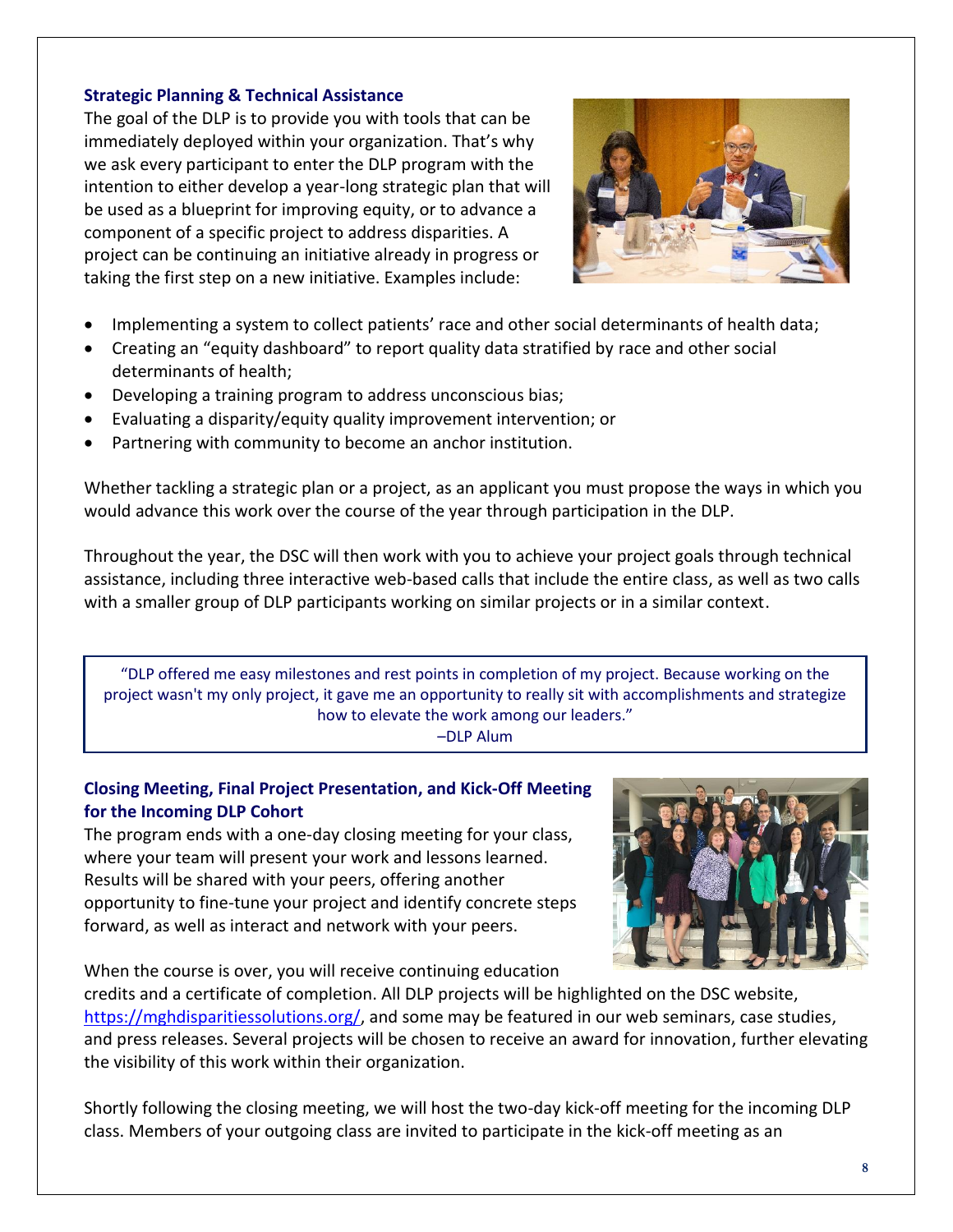### **Strategic Planning & Technical Assistance**

The goal of the DLP is to provide you with tools that can be immediately deployed within your organization. That's why we ask every participant to enter the DLP program with the intention to either develop a year-long strategic plan that will be used as a blueprint for improving equity, or to advance a component of a specific project to address disparities. A project can be continuing an initiative already in progress or taking the first step on a new initiative. Examples include:



- Implementing a system to collect patients' race and other social determinants of health data;
- Creating an "equity dashboard" to report quality data stratified by race and other social determinants of health;
- Developing a training program to address unconscious bias;
- Evaluating a disparity/equity quality improvement intervention; or
- Partnering with community to become an anchor institution.

Whether tackling a strategic plan or a project, as an applicant you must propose the ways in which you would advance this work over the course of the year through participation in the DLP.

Throughout the year, the DSC will then work with you to achieve your project goals through technical assistance, including three interactive web-based calls that include the entire class, as well as two calls with a smaller group of DLP participants working on similar projects or in a similar context.

"DLP offered me easy milestones and rest points in completion of my project. Because working on the project wasn't my only project, it gave me an opportunity to really sit with accomplishments and strategize how to elevate the work among our leaders."

#### –DLP Alum

### **Closing Meeting, Final Project Presentation, and Kick-Off Meeting for the Incoming DLP Cohort**

The program ends with a one-day closing meeting for your class, where your team will present your work and lessons learned. Results will be shared with your peers, offering another opportunity to fine-tune your project and identify concrete steps forward, as well as interact and network with your peers.

When the course is over, you will receive continuing education



credits and a certificate of completion. All DLP projects will be highlighted on the DSC website, [https://mghdisparitiessolutions.org/,](https://mghdisparitiessolutions.org/) and some may be featured in our web seminars, case studies, and press releases. Several projects will be chosen to receive an award for innovation, further elevating the visibility of this work within their organization.

Shortly following the closing meeting, we will host the two-day kick-off meeting for the incoming DLP class. Members of your outgoing class are invited to participate in the kick-off meeting as an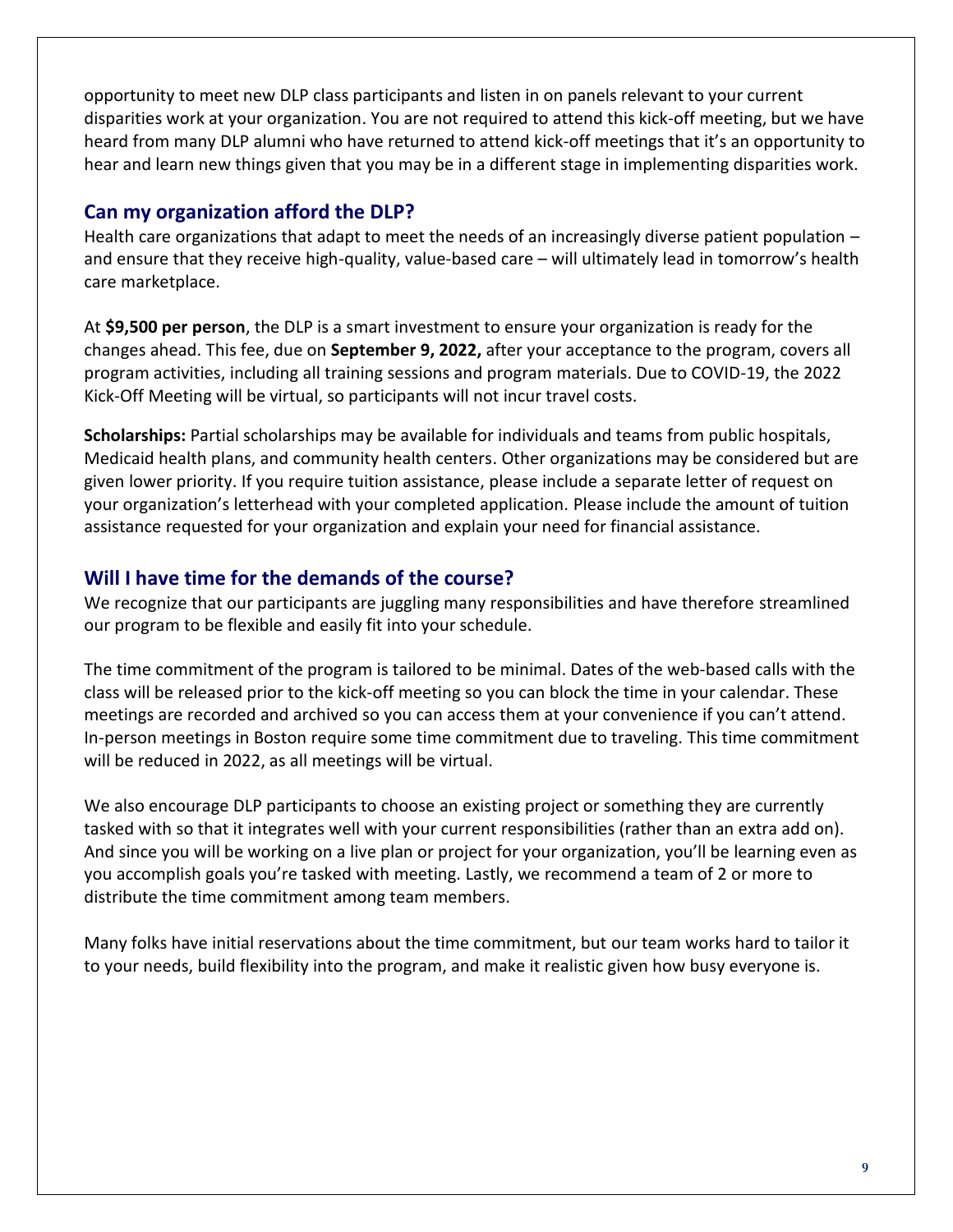opportunity to meet new DLP class participants and listen in on panels relevant to your current disparities work at your organization. You are not required to attend this kick-off meeting, but we have heard from many DLP alumni who have returned to attend kick-off meetings that it's an opportunity to hear and learn new things given that you may be in a different stage in implementing disparities work.

### **Can my organization afford the DLP?**

Health care organizations that adapt to meet the needs of an increasingly diverse patient population and ensure that they receive high-quality, value-based care – will ultimately lead in tomorrow's health care marketplace.

At **\$9,500 per person**, the DLP is a smart investment to ensure your organization is ready for the changes ahead. This fee, due on **September 9, 2022,** after your acceptance to the program, covers all program activities, including all training sessions and program materials. Due to COVID-19, the 2022 Kick-Off Meeting will be virtual, so participants will not incur travel costs.

**Scholarships:** Partial scholarships may be available for individuals and teams from public hospitals, Medicaid health plans, and community health centers. Other organizations may be considered but are given lower priority. If you require tuition assistance, please include a separate letter of request on your organization's letterhead with your completed application. Please include the amount of tuition assistance requested for your organization and explain your need for financial assistance.

# **Will I have time for the demands of the course?**

We recognize that our participants are juggling many responsibilities and have therefore streamlined our program to be flexible and easily fit into your schedule.

The time commitment of the program is tailored to be minimal. Dates of the web-based calls with the class will be released prior to the kick-off meeting so you can block the time in your calendar. These meetings are recorded and archived so you can access them at your convenience if you can't attend. In-person meetings in Boston require some time commitment due to traveling. This time commitment will be reduced in 2022, as all meetings will be virtual.

We also encourage DLP participants to choose an existing project or something they are currently tasked with so that it integrates well with your current responsibilities (rather than an extra add on). And since you will be working on a live plan or project for your organization, you'll be learning even as you accomplish goals you're tasked with meeting. Lastly, we recommend a team of 2 or more to distribute the time commitment among team members.

Many folks have initial reservations about the time commitment, but our team works hard to tailor it to your needs, build flexibility into the program, and make it realistic given how busy everyone is.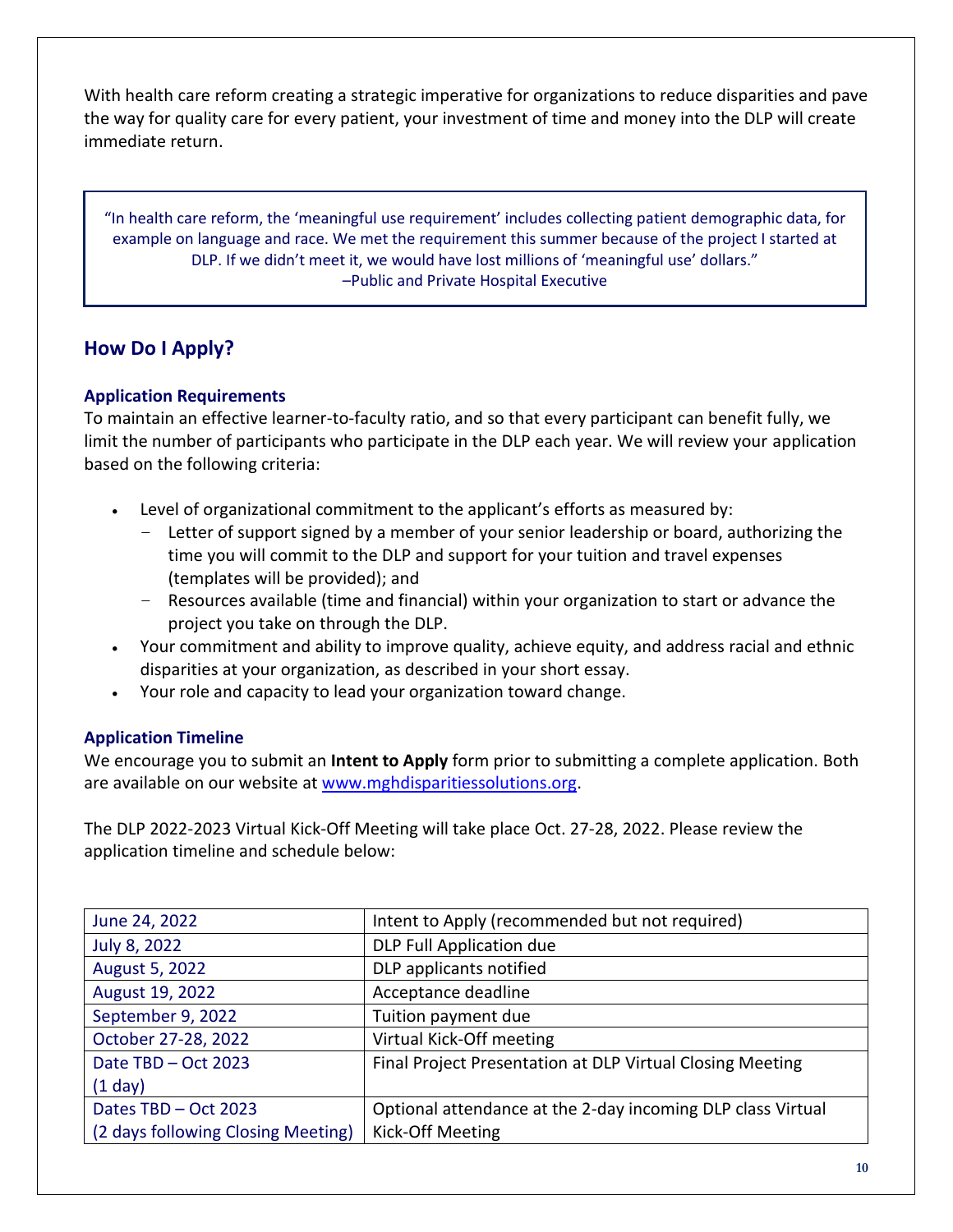With health care reform creating a strategic imperative for organizations to reduce disparities and pave the way for quality care for every patient, your investment of time and money into the DLP will create immediate return.

"In health care reform, the 'meaningful use requirement' includes collecting patient demographic data, for example on language and race. We met the requirement this summer because of the project I started at DLP. If we didn't meet it, we would have lost millions of 'meaningful use' dollars." –Public and Private Hospital Executive

# **How Do I Apply?**

#### **Application Requirements**

To maintain an effective learner-to-faculty ratio, and so that every participant can benefit fully, we limit the number of participants who participate in the DLP each year. We will review your application based on the following criteria:

- Level of organizational commitment to the applicant's efforts as measured by:
	- Letter of support signed by a member of your senior leadership or board, authorizing the time you will commit to the DLP and support for your tuition and travel expenses (templates will be provided); and
	- Resources available (time and financial) within your organization to start or advance the project you take on through the DLP.
- Your commitment and ability to improve quality, achieve equity, and address racial and ethnic disparities at your organization, as described in your short essay.
- Your role and capacity to lead your organization toward change.

### **Application Timeline**

We encourage you to submit an **Intent to Apply** form prior to submitting a complete application. Both are available on our website at [www.mghdisparitiessolutions.org.](http://www.mghdisparitiessolutions.org/)

The DLP 2022-2023 Virtual Kick-Off Meeting will take place Oct. 27-28, 2022. Please review the application timeline and schedule below:

| June 24, 2022                      | Intent to Apply (recommended but not required)              |
|------------------------------------|-------------------------------------------------------------|
| July 8, 2022                       | DLP Full Application due                                    |
| August 5, 2022                     | DLP applicants notified                                     |
| August 19, 2022                    | Acceptance deadline                                         |
| September 9, 2022                  | Tuition payment due                                         |
| October 27-28, 2022                | Virtual Kick-Off meeting                                    |
| Date TBD - Oct 2023                | Final Project Presentation at DLP Virtual Closing Meeting   |
| $(1$ day)                          |                                                             |
| Dates TBD - Oct 2023               | Optional attendance at the 2-day incoming DLP class Virtual |
| (2 days following Closing Meeting) | Kick-Off Meeting                                            |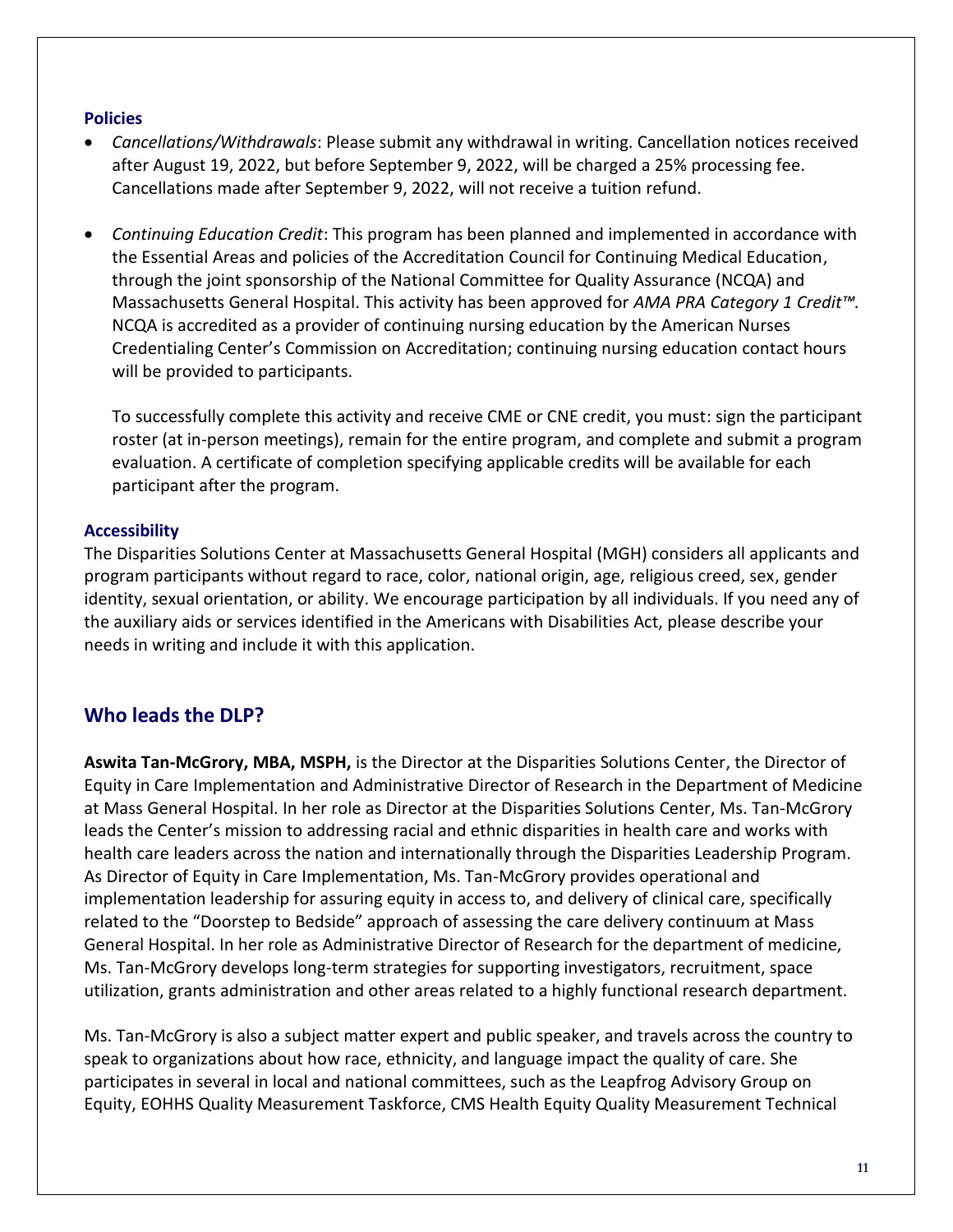#### **Policies**

- *Cancellations/Withdrawals*: Please submit any withdrawal in writing. Cancellation notices received after August 19, 2022, but before September 9, 2022, will be charged a 25% processing fee. Cancellations made after September 9, 2022, will not receive a tuition refund.
- *Continuing Education Credit*: This program has been planned and implemented in accordance with the Essential Areas and policies of the Accreditation Council for Continuing Medical Education, through the joint sponsorship of the National Committee for Quality Assurance (NCQA) and Massachusetts General Hospital. This activity has been approved for *AMA PRA Category 1 Credit™.* NCQA is accredited as a provider of continuing nursing education by the American Nurses Credentialing Center's Commission on Accreditation; continuing nursing education contact hours will be provided to participants.

To successfully complete this activity and receive CME or CNE credit, you must: sign the participant roster (at in-person meetings), remain for the entire program, and complete and submit a program evaluation. A certificate of completion specifying applicable credits will be available for each participant after the program.

### **Accessibility**

The Disparities Solutions Center at Massachusetts General Hospital (MGH) considers all applicants and program participants without regard to race, color, national origin, age, religious creed, sex, gender identity, sexual orientation, or ability. We encourage participation by all individuals. If you need any of the auxiliary aids or services identified in the Americans with Disabilities Act, please describe your needs in writing and include it with this application.

# **Who leads the DLP?**

**Aswita Tan-McGrory, MBA, MSPH,** is the Director at the Disparities Solutions Center, the Director of Equity in Care Implementation and Administrative Director of Research in the Department of Medicine at Mass General Hospital. In her role as Director at the Disparities Solutions Center, Ms. Tan-McGrory leads the Center's mission to addressing racial and ethnic disparities in health care and works with health care leaders across the nation and internationally through the Disparities Leadership Program. As Director of Equity in Care Implementation, Ms. Tan-McGrory provides operational and implementation leadership for assuring equity in access to, and delivery of clinical care, specifically related to the "Doorstep to Bedside" approach of assessing the care delivery continuum at Mass General Hospital. In her role as Administrative Director of Research for the department of medicine, Ms. Tan-McGrory develops long-term strategies for supporting investigators, recruitment, space utilization, grants administration and other areas related to a highly functional research department.

Ms. Tan-McGrory is also a subject matter expert and public speaker, and travels across the country to speak to organizations about how race, ethnicity, and language impact the quality of care. She participates in several in local and national committees, such as the Leapfrog Advisory Group on Equity, EOHHS Quality Measurement Taskforce, CMS Health Equity Quality Measurement Technical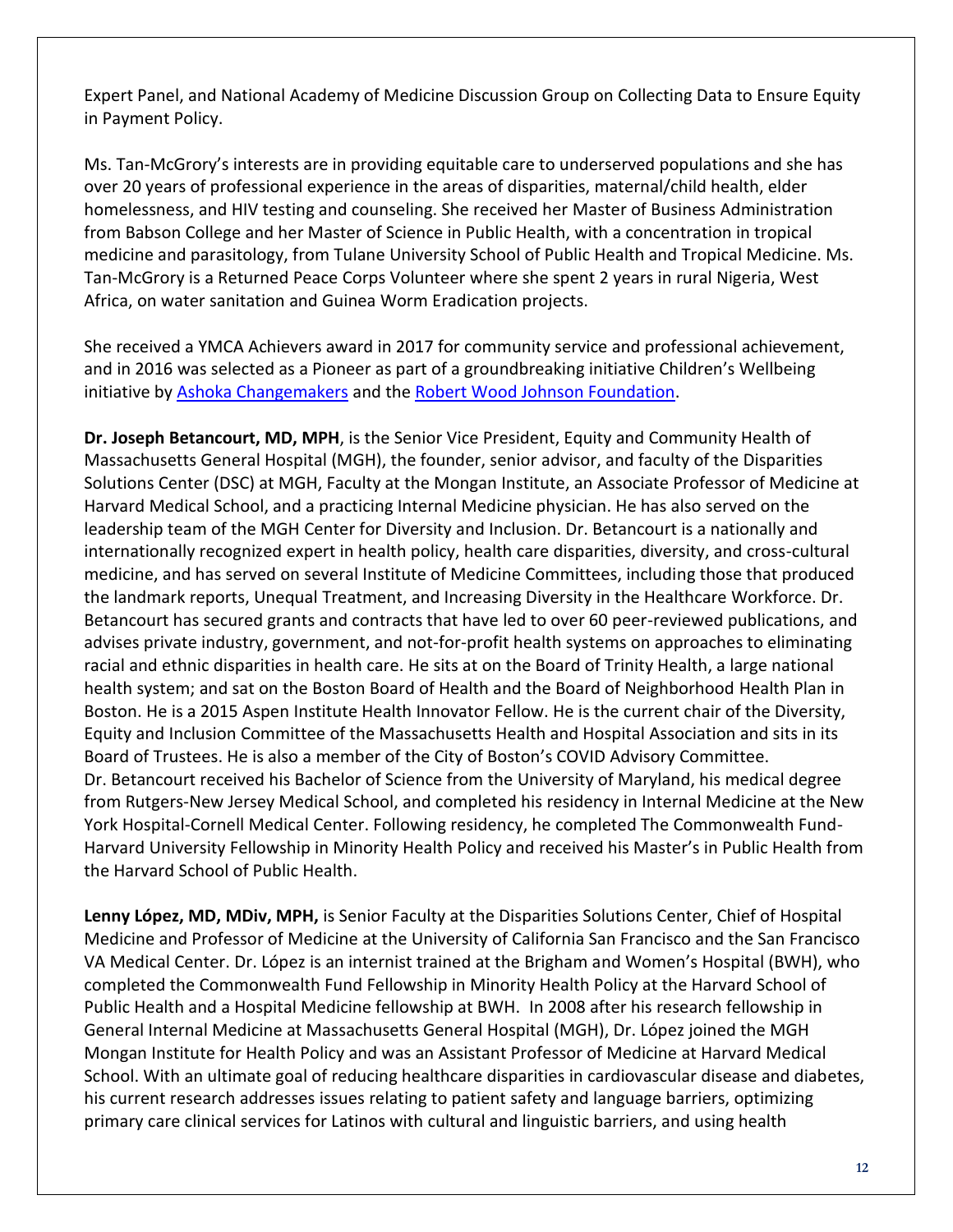Expert Panel, and National Academy of Medicine Discussion Group on Collecting Data to Ensure Equity in Payment Policy.

Ms. Tan-McGrory's interests are in providing equitable care to underserved populations and she has over 20 years of professional experience in the areas of disparities, maternal/child health, elder homelessness, and HIV testing and counseling. She received her Master of Business Administration from Babson College and her Master of Science in Public Health, with a concentration in tropical medicine and parasitology, from Tulane University School of Public Health and Tropical Medicine. Ms. Tan-McGrory is a Returned Peace Corps Volunteer where she spent 2 years in rural Nigeria, West Africa, on water sanitation and Guinea Worm Eradication projects.

She received a YMCA Achievers award in 2017 for community service and professional achievement, and in 2016 was selected as a Pioneer as part of a groundbreaking initiative Children's Wellbeing initiative by [Ashoka Changemakers](https://www.changemakers.com/) and th[e Robert Wood Johnson Foundation.](http://www.rwjf.org/)

**Dr. Joseph Betancourt, MD, MPH**, is the Senior Vice President, Equity and Community Health of Massachusetts General Hospital (MGH), the founder, senior advisor, and faculty of the Disparities Solutions Center (DSC) at MGH, Faculty at the Mongan Institute, an Associate Professor of Medicine at Harvard Medical School, and a practicing Internal Medicine physician. He has also served on the leadership team of the MGH Center for Diversity and Inclusion. Dr. Betancourt is a nationally and internationally recognized expert in health policy, health care disparities, diversity, and cross-cultural medicine, and has served on several Institute of Medicine Committees, including those that produced the landmark reports, Unequal Treatment, and Increasing Diversity in the Healthcare Workforce. Dr. Betancourt has secured grants and contracts that have led to over 60 peer-reviewed publications, and advises private industry, government, and not-for-profit health systems on approaches to eliminating racial and ethnic disparities in health care. He sits at on the Board of Trinity Health, a large national health system; and sat on the Boston Board of Health and the Board of Neighborhood Health Plan in Boston. He is a 2015 Aspen Institute Health Innovator Fellow. He is the current chair of the Diversity, Equity and Inclusion Committee of the Massachusetts Health and Hospital Association and sits in its Board of Trustees. He is also a member of the City of Boston's COVID Advisory Committee. Dr. Betancourt received his Bachelor of Science from the University of Maryland, his medical degree from Rutgers-New Jersey Medical School, and completed his residency in Internal Medicine at the New York Hospital-Cornell Medical Center. Following residency, he completed The Commonwealth Fund-Harvard University Fellowship in Minority Health Policy and received his Master's in Public Health from the Harvard School of Public Health.

**Lenny López, MD, MDiv, MPH,** is Senior Faculty at the Disparities Solutions Center, Chief of Hospital Medicine and Professor of Medicine at the University of California San Francisco and the San Francisco VA Medical Center. Dr. López is an internist trained at the Brigham and Women's Hospital (BWH), who completed the Commonwealth Fund Fellowship in Minority Health Policy at the Harvard School of Public Health and a Hospital Medicine fellowship at BWH. In 2008 after his research fellowship in General Internal Medicine at Massachusetts General Hospital (MGH), Dr. López joined the MGH Mongan Institute for Health Policy and was an Assistant Professor of Medicine at Harvard Medical School. With an ultimate goal of reducing healthcare disparities in cardiovascular disease and diabetes, his current research addresses issues relating to patient safety and language barriers, optimizing primary care clinical services for Latinos with cultural and linguistic barriers, and using health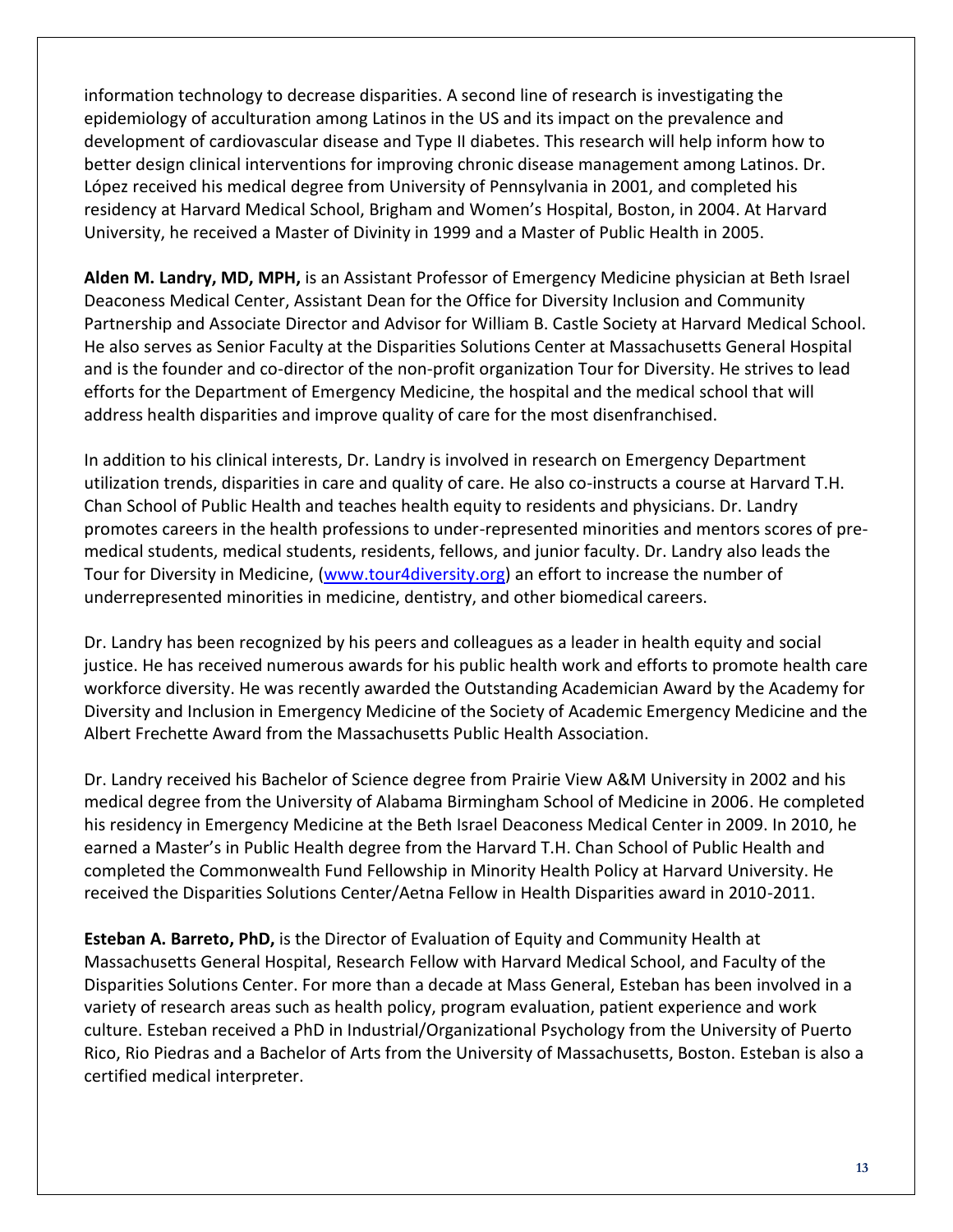information technology to decrease disparities. A second line of research is investigating the epidemiology of acculturation among Latinos in the US and its impact on the prevalence and development of cardiovascular disease and Type II diabetes. This research will help inform how to better design clinical interventions for improving chronic disease management among Latinos. Dr. López received his medical degree from University of Pennsylvania in 2001, and completed his residency at Harvard Medical School, Brigham and Women's Hospital, Boston, in 2004. At Harvard University, he received a Master of Divinity in 1999 and a Master of Public Health in 2005.

**Alden M. Landry, MD, MPH,** is an Assistant Professor of Emergency Medicine physician at Beth Israel Deaconess Medical Center, Assistant Dean for the Office for Diversity Inclusion and Community Partnership and Associate Director and Advisor for William B. Castle Society at Harvard Medical School. He also serves as Senior Faculty at the Disparities Solutions Center at Massachusetts General Hospital and is the founder and co-director of the non-profit organization Tour for Diversity. He strives to lead efforts for the Department of Emergency Medicine, the hospital and the medical school that will address health disparities and improve quality of care for the most disenfranchised.

In addition to his clinical interests, Dr. Landry is involved in research on Emergency Department utilization trends, disparities in care and quality of care. He also co-instructs a course at Harvard T.H. Chan School of Public Health and teaches health equity to residents and physicians. Dr. Landry promotes careers in the health professions to under-represented minorities and mentors scores of premedical students, medical students, residents, fellows, and junior faculty. Dr. Landry also leads the Tour for Diversity in Medicine, [\(www.tour4diversity.org\)](http://www.tour4diversity.org/) an effort to increase the number of underrepresented minorities in medicine, dentistry, and other biomedical careers.

Dr. Landry has been recognized by his peers and colleagues as a leader in health equity and social justice. He has received numerous awards for his public health work and efforts to promote health care workforce diversity. He was recently awarded the Outstanding Academician Award by the Academy for Diversity and Inclusion in Emergency Medicine of the Society of Academic Emergency Medicine and the Albert Frechette Award from the Massachusetts Public Health Association.

Dr. Landry received his Bachelor of Science degree from Prairie View A&M University in 2002 and his medical degree from the University of Alabama Birmingham School of Medicine in 2006. He completed his residency in Emergency Medicine at the Beth Israel Deaconess Medical Center in 2009. In 2010, he earned a Master's in Public Health degree from the Harvard T.H. Chan School of Public Health and completed the Commonwealth Fund Fellowship in Minority Health Policy at Harvard University. He received the Disparities Solutions Center/Aetna Fellow in Health Disparities award in 2010-2011.

**Esteban A. Barreto, PhD,** is the Director of Evaluation of Equity and Community Health at Massachusetts General Hospital, Research Fellow with Harvard Medical School, and Faculty of the Disparities Solutions Center. For more than a decade at Mass General, Esteban has been involved in a variety of research areas such as health policy, program evaluation, patient experience and work culture. Esteban received a PhD in Industrial/Organizational Psychology from the University of Puerto Rico, Rio Piedras and a Bachelor of Arts from the University of Massachusetts, Boston. Esteban is also a certified medical interpreter.